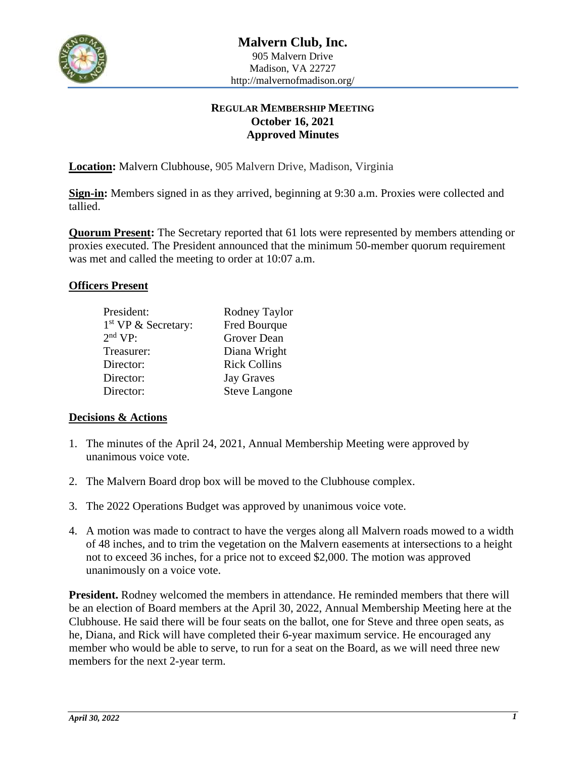

# **REGULAR MEMBERSHIP MEETING October 16, 2021 Approved Minutes**

**Location:** Malvern Clubhouse, 905 Malvern Drive, Madison, Virginia

**Sign-in:** Members signed in as they arrived, beginning at 9:30 a.m. Proxies were collected and tallied.

**Quorum Present:** The Secretary reported that 61 lots were represented by members attending or proxies executed. The President announced that the minimum 50-member quorum requirement was met and called the meeting to order at 10:07 a.m.

#### **Officers Present**

| President:                      | Rodney Taylor        |
|---------------------------------|----------------------|
| 1 <sup>st</sup> VP & Secretary: | Fred Bourque         |
| 2 <sup>nd</sup> VP:             | Grover Dean          |
| Treasurer:                      | Diana Wright         |
| Director:                       | <b>Rick Collins</b>  |
| Director:                       | <b>Jay Graves</b>    |
| Director:                       | <b>Steve Langone</b> |

### **Decisions & Actions**

- 1. The minutes of the April 24, 2021, Annual Membership Meeting were approved by unanimous voice vote.
- 2. The Malvern Board drop box will be moved to the Clubhouse complex.
- 3. The 2022 Operations Budget was approved by unanimous voice vote.
- 4. A motion was made to contract to have the verges along all Malvern roads mowed to a width of 48 inches, and to trim the vegetation on the Malvern easements at intersections to a height not to exceed 36 inches, for a price not to exceed \$2,000. The motion was approved unanimously on a voice vote.

**President.** Rodney welcomed the members in attendance. He reminded members that there will be an election of Board members at the April 30, 2022, Annual Membership Meeting here at the Clubhouse. He said there will be four seats on the ballot, one for Steve and three open seats, as he, Diana, and Rick will have completed their 6-year maximum service. He encouraged any member who would be able to serve, to run for a seat on the Board, as we will need three new members for the next 2-year term.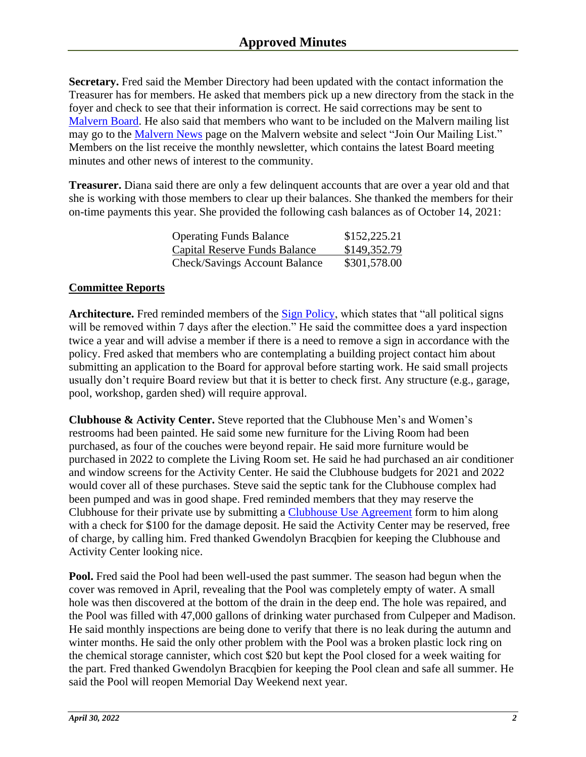**Secretary.** Fred said the Member Directory had been updated with the contact information the Treasurer has for members. He asked that members pick up a new directory from the stack in the foyer and check to see that their information is correct. He said corrections may be sent to [Malvern Board.](mailto:Malvernhoa@malvernofmadison.org) He also said that members who want to be included on the Malvern mailing list may go to the [Malvern News](https://www.malvernofmadison.org/news.php) page on the Malvern website and select "Join Our Mailing List." Members on the list receive the monthly newsletter, which contains the latest Board meeting minutes and other news of interest to the community.

**Treasurer.** Diana said there are only a few delinquent accounts that are over a year old and that she is working with those members to clear up their balances. She thanked the members for their on-time payments this year. She provided the following cash balances as of October 14, 2021:

| <b>Operating Funds Balance</b>       | \$152,225.21 |
|--------------------------------------|--------------|
| Capital Reserve Funds Balance        | \$149,352.79 |
| <b>Check/Savings Account Balance</b> | \$301,578.00 |

# **Committee Reports**

**Architecture.** Fred reminded members of the [Sign Policy,](mailto:https://www.malvernofmadison.org/info-policies.php) which states that "all political signs will be removed within 7 days after the election." He said the committee does a yard inspection twice a year and will advise a member if there is a need to remove a sign in accordance with the policy. Fred asked that members who are contemplating a building project contact him about submitting an application to the Board for approval before starting work. He said small projects usually don't require Board review but that it is better to check first. Any structure (e.g., garage, pool, workshop, garden shed) will require approval.

**Clubhouse & Activity Center.** Steve reported that the Clubhouse Men's and Women's restrooms had been painted. He said some new furniture for the Living Room had been purchased, as four of the couches were beyond repair. He said more furniture would be purchased in 2022 to complete the Living Room set. He said he had purchased an air conditioner and window screens for the Activity Center. He said the Clubhouse budgets for 2021 and 2022 would cover all of these purchases. Steve said the septic tank for the Clubhouse complex had been pumped and was in good shape. Fred reminded members that they may reserve the Clubhouse for their private use by submitting a [Clubhouse Use Agreement](https://www.malvernofmadison.org/DocForm/MalvernClubhouseForm.pdf) form to him along with a check for \$100 for the damage deposit. He said the Activity Center may be reserved, free of charge, by calling him. Fred thanked Gwendolyn Bracqbien for keeping the Clubhouse and Activity Center looking nice.

**Pool.** Fred said the Pool had been well-used the past summer. The season had begun when the cover was removed in April, revealing that the Pool was completely empty of water. A small hole was then discovered at the bottom of the drain in the deep end. The hole was repaired, and the Pool was filled with 47,000 gallons of drinking water purchased from Culpeper and Madison. He said monthly inspections are being done to verify that there is no leak during the autumn and winter months. He said the only other problem with the Pool was a broken plastic lock ring on the chemical storage cannister, which cost \$20 but kept the Pool closed for a week waiting for the part. Fred thanked Gwendolyn Bracqbien for keeping the Pool clean and safe all summer. He said the Pool will reopen Memorial Day Weekend next year.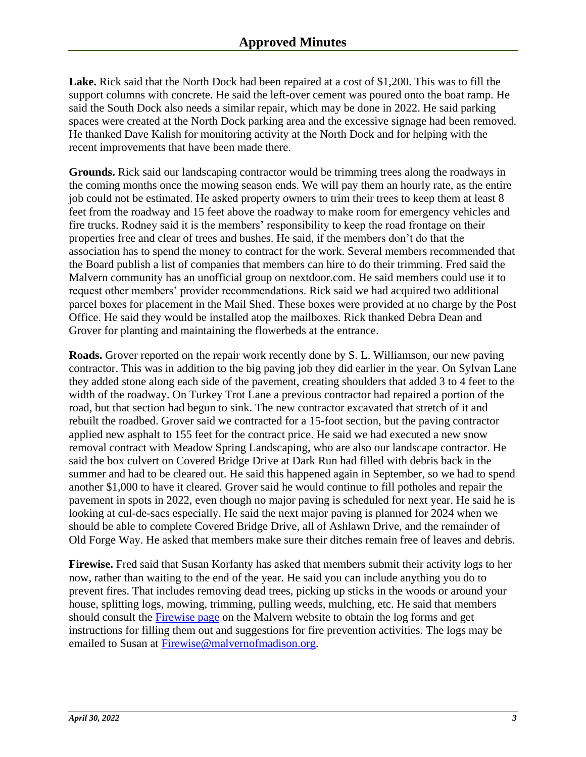**Lake.** Rick said that the North Dock had been repaired at a cost of \$1,200. This was to fill the support columns with concrete. He said the left-over cement was poured onto the boat ramp. He said the South Dock also needs a similar repair, which may be done in 2022. He said parking spaces were created at the North Dock parking area and the excessive signage had been removed. He thanked Dave Kalish for monitoring activity at the North Dock and for helping with the recent improvements that have been made there.

**Grounds.** Rick said our landscaping contractor would be trimming trees along the roadways in the coming months once the mowing season ends. We will pay them an hourly rate, as the entire job could not be estimated. He asked property owners to trim their trees to keep them at least 8 feet from the roadway and 15 feet above the roadway to make room for emergency vehicles and fire trucks. Rodney said it is the members' responsibility to keep the road frontage on their properties free and clear of trees and bushes. He said, if the members don't do that the association has to spend the money to contract for the work. Several members recommended that the Board publish a list of companies that members can hire to do their trimming. Fred said the Malvern community has an unofficial group on nextdoor.com. He said members could use it to request other members' provider recommendations. Rick said we had acquired two additional parcel boxes for placement in the Mail Shed. These boxes were provided at no charge by the Post Office. He said they would be installed atop the mailboxes. Rick thanked Debra Dean and Grover for planting and maintaining the flowerbeds at the entrance.

**Roads.** Grover reported on the repair work recently done by S. L. Williamson, our new paving contractor. This was in addition to the big paving job they did earlier in the year. On Sylvan Lane they added stone along each side of the pavement, creating shoulders that added 3 to 4 feet to the width of the roadway. On Turkey Trot Lane a previous contractor had repaired a portion of the road, but that section had begun to sink. The new contractor excavated that stretch of it and rebuilt the roadbed. Grover said we contracted for a 15-foot section, but the paving contractor applied new asphalt to 155 feet for the contract price. He said we had executed a new snow removal contract with Meadow Spring Landscaping, who are also our landscape contractor. He said the box culvert on Covered Bridge Drive at Dark Run had filled with debris back in the summer and had to be cleared out. He said this happened again in September, so we had to spend another \$1,000 to have it cleared. Grover said he would continue to fill potholes and repair the pavement in spots in 2022, even though no major paving is scheduled for next year. He said he is looking at cul-de-sacs especially. He said the next major paving is planned for 2024 when we should be able to complete Covered Bridge Drive, all of Ashlawn Drive, and the remainder of Old Forge Way. He asked that members make sure their ditches remain free of leaves and debris.

**Firewise.** Fred said that Susan Korfanty has asked that members submit their activity logs to her now, rather than waiting to the end of the year. He said you can include anything you do to prevent fires. That includes removing dead trees, picking up sticks in the woods or around your house, splitting logs, mowing, trimming, pulling weeds, mulching, etc. He said that members should consult the [Firewise page](https://www.malvernofmadison.org/community-firewise.php) on the Malvern website to obtain the log forms and get instructions for filling them out and suggestions for fire prevention activities. The logs may be emailed to Susan at [Firewise@malvernofmadison.org.](mailto:Firewise@malvernofmadison.org)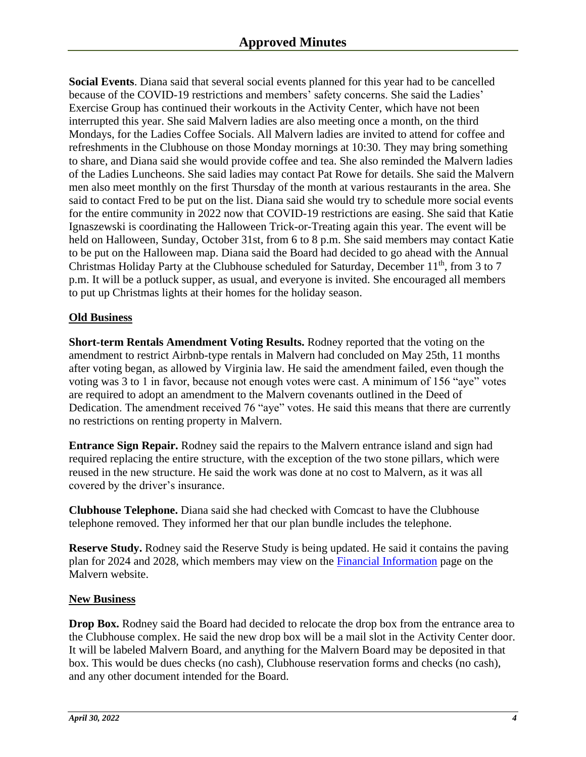**Social Events**. Diana said that several social events planned for this year had to be cancelled because of the COVID-19 restrictions and members' safety concerns. She said the Ladies' Exercise Group has continued their workouts in the Activity Center, which have not been interrupted this year. She said Malvern ladies are also meeting once a month, on the third Mondays, for the Ladies Coffee Socials. All Malvern ladies are invited to attend for coffee and refreshments in the Clubhouse on those Monday mornings at 10:30. They may bring something to share, and Diana said she would provide coffee and tea. She also reminded the Malvern ladies of the Ladies Luncheons. She said ladies may contact Pat Rowe for details. She said the Malvern men also meet monthly on the first Thursday of the month at various restaurants in the area. She said to contact Fred to be put on the list. Diana said she would try to schedule more social events for the entire community in 2022 now that COVID-19 restrictions are easing. She said that Katie Ignaszewski is coordinating the Halloween Trick-or-Treating again this year. The event will be held on Halloween, Sunday, October 31st, from 6 to 8 p.m. She said members may contact Katie to be put on the Halloween map. Diana said the Board had decided to go ahead with the Annual Christmas Holiday Party at the Clubhouse scheduled for Saturday, December  $11<sup>th</sup>$ , from 3 to 7 p.m. It will be a potluck supper, as usual, and everyone is invited. She encouraged all members to put up Christmas lights at their homes for the holiday season.

## **Old Business**

**Short-term Rentals Amendment Voting Results.** Rodney reported that the voting on the amendment to restrict Airbnb-type rentals in Malvern had concluded on May 25th, 11 months after voting began, as allowed by Virginia law. He said the amendment failed, even though the voting was 3 to 1 in favor, because not enough votes were cast. A minimum of 156 "aye" votes are required to adopt an amendment to the Malvern covenants outlined in the Deed of Dedication. The amendment received 76 "aye" votes. He said this means that there are currently no restrictions on renting property in Malvern.

**Entrance Sign Repair.** Rodney said the repairs to the Malvern entrance island and sign had required replacing the entire structure, with the exception of the two stone pillars, which were reused in the new structure. He said the work was done at no cost to Malvern, as it was all covered by the driver's insurance.

**Clubhouse Telephone.** Diana said she had checked with Comcast to have the Clubhouse telephone removed. They informed her that our plan bundle includes the telephone.

**Reserve Study.** Rodney said the Reserve Study is being updated. He said it contains the paving plan for 2024 and 2028, which members may view on the [Financial Information](https://www.malvernofmadison.org/info-finance.php) page on the Malvern website.

### **New Business**

**Drop Box.** Rodney said the Board had decided to relocate the drop box from the entrance area to the Clubhouse complex. He said the new drop box will be a mail slot in the Activity Center door. It will be labeled Malvern Board, and anything for the Malvern Board may be deposited in that box. This would be dues checks (no cash), Clubhouse reservation forms and checks (no cash), and any other document intended for the Board.